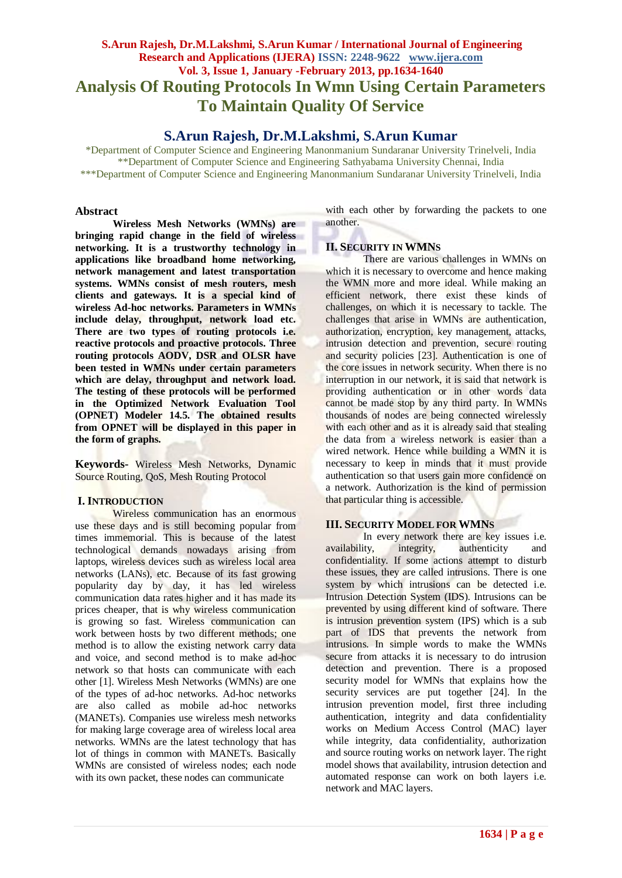# **S.Arun Rajesh, Dr.M.Lakshmi, S.Arun Kumar / International Journal of Engineering Research and Applications (IJERA) ISSN: 2248-9622 www.ijera.com Vol. 3, Issue 1, January -February 2013, pp.1634-1640 Analysis Of Routing Protocols In Wmn Using Certain Parameters To Maintain Quality Of Service**

# **S.Arun Rajesh, Dr.M.Lakshmi, S.Arun Kumar**

\*Department of Computer Science and Engineering Manonmanium Sundaranar University Trinelveli, India \*\*Department of Computer Science and Engineering Sathyabama University Chennai, India \*\*\*Department of Computer Science and Engineering Manonmanium Sundaranar University Trinelveli, India

#### **Abstract**

**Wireless Mesh Networks (WMNs) are bringing rapid change in the field of wireless networking. It is a trustworthy technology in applications like broadband home networking, network management and latest transportation systems. WMNs consist of mesh routers, mesh clients and gateways. It is a special kind of wireless Ad-hoc networks. Parameters in WMNs include delay, throughput, network load etc. There are two types of routing protocols i.e. reactive protocols and proactive protocols. Three routing protocols AODV, DSR and OLSR have been tested in WMNs under certain parameters which are delay, throughput and network load. The testing of these protocols will be performed in the Optimized Network Evaluation Tool (OPNET) Modeler 14.5. The obtained results from OPNET will be displayed in this paper in the form of graphs.**

**Keywords-** Wireless Mesh Networks, Dynamic Source Routing, QoS, Mesh Routing Protocol

## **I. INTRODUCTION**

Wireless communication has an enormous use these days and is still becoming popular from times immemorial. This is because of the latest technological demands nowadays arising from laptops, wireless devices such as wireless local area networks (LANs), etc. Because of its fast growing popularity day by day, it has led wireless communication data rates higher and it has made its prices cheaper, that is why wireless communication is growing so fast. Wireless communication can work between hosts by two different methods; one method is to allow the existing network carry data and voice, and second method is to make ad-hoc network so that hosts can communicate with each other [1]. Wireless Mesh Networks (WMNs) are one of the types of ad-hoc networks. Ad-hoc networks are also called as mobile ad-hoc networks (MANETs). Companies use wireless mesh networks for making large coverage area of wireless local area networks. WMNs are the latest technology that has lot of things in common with MANETs. Basically WMNs are consisted of wireless nodes; each node with its own packet, these nodes can communicate

with each other by forwarding the packets to one another.

## **II. SECURITY IN WMNS**

There are various challenges in WMNs on which it is necessary to overcome and hence making the WMN more and more ideal. While making an efficient network, there exist these kinds of challenges, on which it is necessary to tackle. The challenges that arise in WMNs are authentication, authorization, encryption, key management, attacks, intrusion detection and prevention, secure routing and security policies [23]. Authentication is one of the core issues in network security. When there is no interruption in our network, it is said that network is providing authentication or in other words data cannot be made stop by any third party. In WMNs thousands of nodes are being connected wirelessly with each other and as it is already said that stealing the data from a wireless network is easier than a wired network. Hence while building a WMN it is necessary to keep in minds that it must provide authentication so that users gain more confidence on a network. Authorization is the kind of permission that particular thing is accessible.

## **III. SECURITY MODEL FOR WMNS**

In every network there are key issues i.e. availability, integrity, authenticity and confidentiality. If some actions attempt to disturb these issues, they are called intrusions. There is one system by which intrusions can be detected i.e. Intrusion Detection System (IDS). Intrusions can be prevented by using different kind of software. There is intrusion prevention system (IPS) which is a sub part of IDS that prevents the network from intrusions. In simple words to make the WMNs secure from attacks it is necessary to do intrusion detection and prevention. There is a proposed security model for WMNs that explains how the security services are put together [24]. In the intrusion prevention model, first three including authentication, integrity and data confidentiality works on Medium Access Control (MAC) layer while integrity, data confidentiality, authorization and source routing works on network layer. The right model shows that availability, intrusion detection and automated response can work on both layers i.e. network and MAC layers.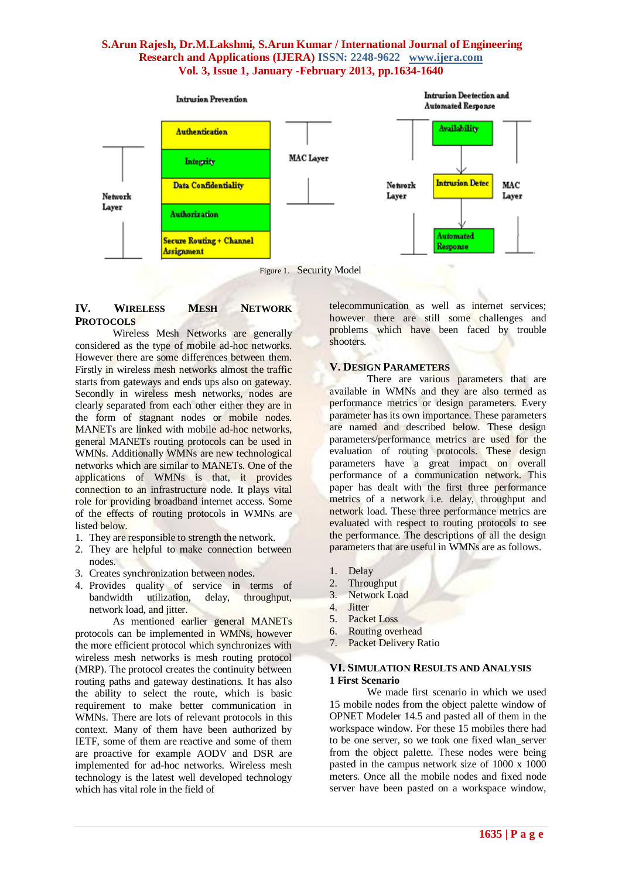

Figure 1. Security Model

## **IV. WIRELESS MESH NETWORK PROTOCOLS**

Wireless Mesh Networks are generally considered as the type of mobile ad-hoc networks. However there are some differences between them. Firstly in wireless mesh networks almost the traffic starts from gateways and ends ups also on gateway. Secondly in wireless mesh networks, nodes are clearly separated from each other either they are in the form of stagnant nodes or mobile nodes. MANETs are linked with mobile ad-hoc networks, general MANETs routing protocols can be used in WMNs. Additionally WMNs are new technological networks which are similar to MANETs. One of the applications of WMNs is that, it provides connection to an infrastructure node. It plays vital role for providing broadband internet access. Some of the effects of routing protocols in WMNs are listed below.

- 1. They are responsible to strength the network.
- 2. They are helpful to make connection between nodes.
- 3. Creates synchronization between nodes.
- 4. Provides quality of service in terms of bandwidth utilization, delay, throughput, network load, and jitter.

As mentioned earlier general MANETs protocols can be implemented in WMNs, however the more efficient protocol which synchronizes with wireless mesh networks is mesh routing protocol (MRP). The protocol creates the continuity between routing paths and gateway destinations. It has also the ability to select the route, which is basic requirement to make better communication in WMNs. There are lots of relevant protocols in this context. Many of them have been authorized by IETF, some of them are reactive and some of them are proactive for example AODV and DSR are implemented for ad-hoc networks. Wireless mesh technology is the latest well developed technology which has vital role in the field of

telecommunication as well as internet services; however there are still some challenges and problems which have been faced by trouble shooters.

### **V. DESIGN PARAMETERS**

There are various parameters that are available in WMNs and they are also termed as performance metrics or design parameters. Every parameter has its own importance. These parameters are named and described below. These design parameters/performance metrics are used for the evaluation of routing protocols. These design parameters have a great impact on overall performance of a communication network. This paper has dealt with the first three performance metrics of a network i.e. delay, throughput and network load. These three performance metrics are evaluated with respect to routing protocols to see the performance. The descriptions of all the design parameters that are useful in WMNs are as follows.

- 1. Delay
- 2. Throughput
- 3. Network Load
- 4. Jitter
- 5. Packet Loss
- 6. Routing overhead
- 7. Packet Delivery Ratio

#### **VI. SIMULATION RESULTS AND ANALYSIS 1 First Scenario**

We made first scenario in which we used 15 mobile nodes from the object palette window of OPNET Modeler 14.5 and pasted all of them in the workspace window. For these 15 mobiles there had to be one server, so we took one fixed wlan\_server from the object palette. These nodes were being pasted in the campus network size of 1000 x 1000 meters. Once all the mobile nodes and fixed node server have been pasted on a workspace window,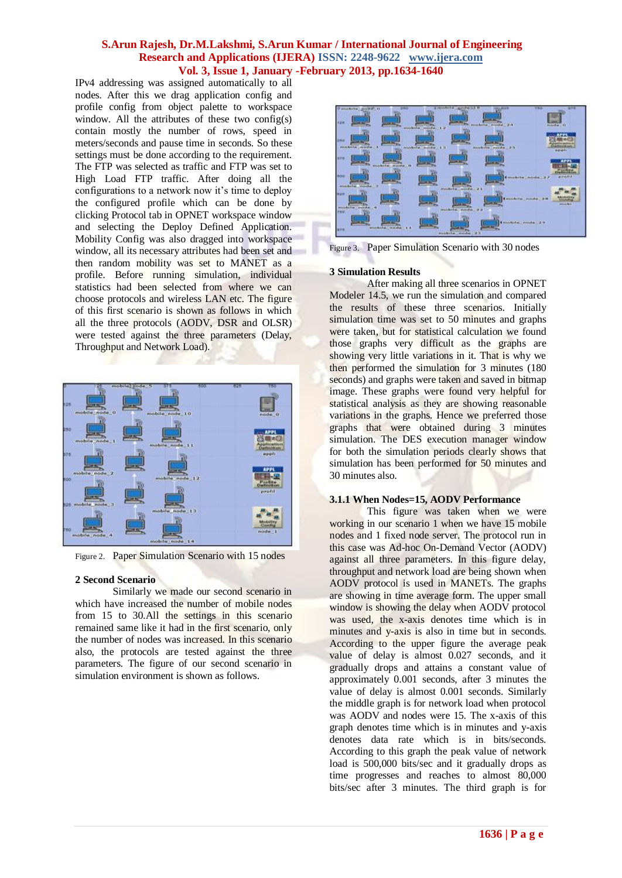IPv4 addressing was assigned automatically to all nodes. After this we drag application config and profile config from object palette to workspace window. All the attributes of these two config(s) contain mostly the number of rows, speed in meters/seconds and pause time in seconds. So these settings must be done according to the requirement. The FTP was selected as traffic and FTP was set to High Load FTP traffic. After doing all the configurations to a network now it's time to deploy the configured profile which can be done by clicking Protocol tab in OPNET workspace window and selecting the Deploy Defined Application. Mobility Config was also dragged into workspace window, all its necessary attributes had been set and then random mobility was set to MANET as a profile. Before running simulation, individual statistics had been selected from where we can choose protocols and wireless LAN etc. The figure of this first scenario is shown as follows in which all the three protocols (AODV, DSR and OLSR) were tested against the three parameters (Delay, Throughput and Network Load).



Figure 2. Paper Simulation Scenario with 15 nodes

#### **2 Second Scenario**

Similarly we made our second scenario in which have increased the number of mobile nodes from 15 to 30.All the settings in this scenario remained same like it had in the first scenario, only the number of nodes was increased. In this scenario also, the protocols are tested against the three parameters. The figure of our second scenario in simulation environment is shown as follows.



Figure 3. Paper Simulation Scenario with 30 nodes

### **3 Simulation Results**

After making all three scenarios in OPNET Modeler 14.5, we run the simulation and compared the results of these three scenarios. Initially simulation time was set to 50 minutes and graphs were taken, but for statistical calculation we found those graphs very difficult as the graphs are showing very little variations in it. That is why we then performed the simulation for 3 minutes (180 seconds) and graphs were taken and saved in bitmap image. These graphs were found very helpful for statistical analysis as they are showing reasonable variations in the graphs. Hence we preferred those graphs that were obtained during 3 minutes simulation. The DES execution manager window for both the simulation periods clearly shows that simulation has been performed for 50 minutes and 30 minutes also.

## **3.1.1 When Nodes=15, AODV Performance**

This figure was taken when we were working in our scenario 1 when we have 15 mobile nodes and 1 fixed node server. The protocol run in this case was Ad-hoc On-Demand Vector (AODV) against all three parameters. In this figure delay, throughput and network load are being shown when AODV protocol is used in MANETs. The graphs are showing in time average form. The upper small window is showing the delay when AODV protocol was used, the x-axis denotes time which is in minutes and y-axis is also in time but in seconds. According to the upper figure the average peak value of delay is almost 0.027 seconds, and it gradually drops and attains a constant value of approximately 0.001 seconds, after 3 minutes the value of delay is almost 0.001 seconds. Similarly the middle graph is for network load when protocol was AODV and nodes were 15. The x-axis of this graph denotes time which is in minutes and y-axis denotes data rate which is in bits/seconds. According to this graph the peak value of network load is 500,000 bits/sec and it gradually drops as time progresses and reaches to almost 80,000 bits/sec after 3 minutes. The third graph is for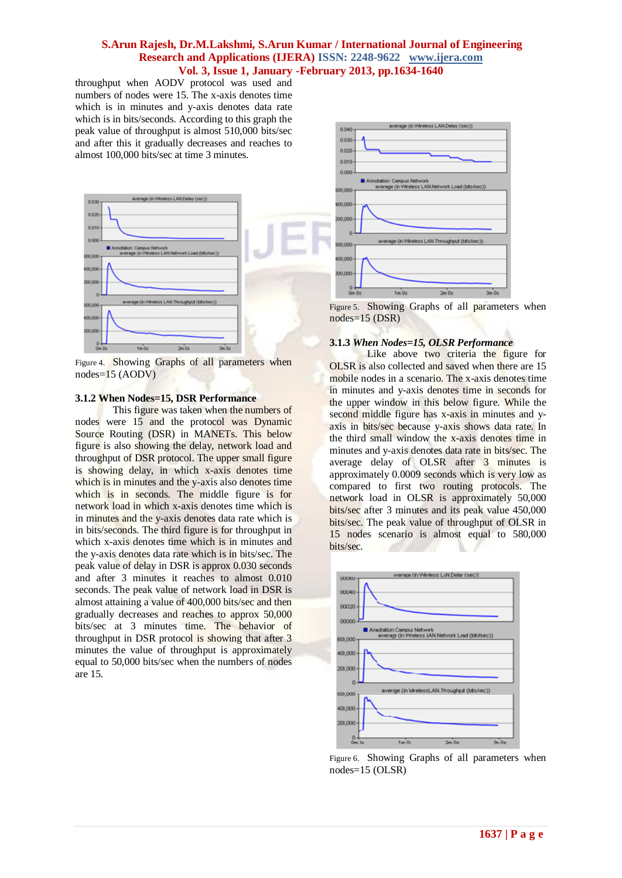throughput when AODV protocol was used and numbers of nodes were 15. The x-axis denotes time which is in minutes and y-axis denotes data rate which is in bits/seconds. According to this graph the peak value of throughput is almost 510,000 bits/sec and after this it gradually decreases and reaches to almost 100,000 bits/sec at time 3 minutes.



Figure 4. Showing Graphs of all parameters when nodes=15 (AODV)

#### **3.1.2 When Nodes=15, DSR Performance**

This figure was taken when the numbers of nodes were 15 and the protocol was Dynamic Source Routing (DSR) in MANETs. This below figure is also showing the delay, network load and throughput of DSR protocol. The upper small figure is showing delay, in which x-axis denotes time which is in minutes and the y-axis also denotes time which is in seconds. The middle figure is for network load in which x-axis denotes time which is in minutes and the y-axis denotes data rate which is in bits/seconds. The third figure is for throughput in which x-axis denotes time which is in minutes and the y-axis denotes data rate which is in bits/sec. The peak value of delay in DSR is approx 0.030 seconds and after 3 minutes it reaches to almost 0.010 seconds. The peak value of network load in DSR is almost attaining a value of 400,000 bits/sec and then gradually decreases and reaches to approx 50,000 bits/sec at 3 minutes time. The behavior of throughput in DSR protocol is showing that after 3 minutes the value of throughput is approximately equal to 50,000 bits/sec when the numbers of nodes are 15.



Figure 5. Showing Graphs of all parameters when nodes=15 (DSR)

#### **3.1.3** *When Nodes=15, OLSR Performance*

Like above two criteria the figure for OLSR is also collected and saved when there are 15 mobile nodes in a scenario. The x-axis denotes time in minutes and y-axis denotes time in seconds for the upper window in this below figure. While the second middle figure has x-axis in minutes and yaxis in bits/sec because y-axis shows data rate. In the third small window the x-axis denotes time in minutes and y-axis denotes data rate in bits/sec. The average delay of OLSR after 3 minutes is approximately 0.0009 seconds which is very low as compared to first two routing protocols. The network load in OLSR is approximately 50,000 bits/sec after 3 minutes and its peak value 450,000 bits/sec. The peak value of throughput of OLSR in 15 nodes scenario is almost equal to 580,000 bits/sec.



Figure 6. Showing Graphs of all parameters when nodes=15 (OLSR)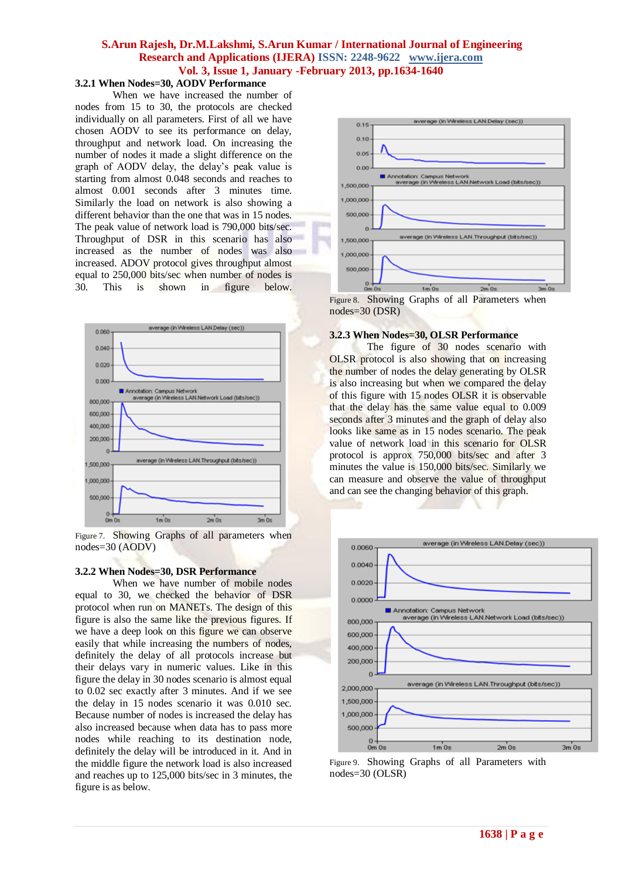## **3.2.1 When Nodes=30, AODV Performance**

When we have increased the number of nodes from 15 to 30, the protocols are checked individually on all parameters. First of all we have chosen AODV to see its performance on delay, throughput and network load. On increasing the number of nodes it made a slight difference on the graph of AODV delay, the delay's peak value is starting from almost 0.048 seconds and reaches to almost 0.001 seconds after 3 minutes time. Similarly the load on network is also showing a different behavior than the one that was in 15 nodes. The peak value of network load is 790,000 bits/sec. Throughput of DSR in this scenario has also increased as the number of nodes was also increased. ADOV protocol gives throughput almost equal to 250,000 bits/sec when number of nodes is 30. This is shown in figure below.



Figure 7. Showing Graphs of all parameters when nodes=30 (AODV)

#### **3.2.2 When Nodes=30, DSR Performance**

When we have number of mobile nodes equal to 30, we checked the behavior of DSR protocol when run on MANETs. The design of this figure is also the same like the previous figures. If we have a deep look on this figure we can observe easily that while increasing the numbers of nodes, definitely the delay of all protocols increase but their delays vary in numeric values. Like in this figure the delay in 30 nodes scenario is almost equal to 0.02 sec exactly after 3 minutes. And if we see the delay in 15 nodes scenario it was 0.010 sec. Because number of nodes is increased the delay has also increased because when data has to pass more nodes while reaching to its destination node, definitely the delay will be introduced in it. And in the middle figure the network load is also increased and reaches up to 125,000 bits/sec in 3 minutes, the figure is as below.



Figure 8. Showing Graphs of all Parameters when nodes=30 (DSR)

#### **3.2.3 When Nodes=30, OLSR Performance**

The figure of 30 nodes scenario with OLSR protocol is also showing that on increasing the number of nodes the delay generating by OLSR is also increasing but when we compared the delay of this figure with 15 nodes OLSR it is observable that the delay has the same value equal to 0.009 seconds after 3 minutes and the graph of delay also looks like same as in 15 nodes scenario. The peak value of network load in this scenario for OLSR protocol is approx 750,000 bits/sec and after 3 minutes the value is 150,000 bits/sec. Similarly we can measure and observe the value of throughput and can see the changing behavior of this graph.



Figure 9. Showing Graphs of all Parameters with nodes=30 (OLSR)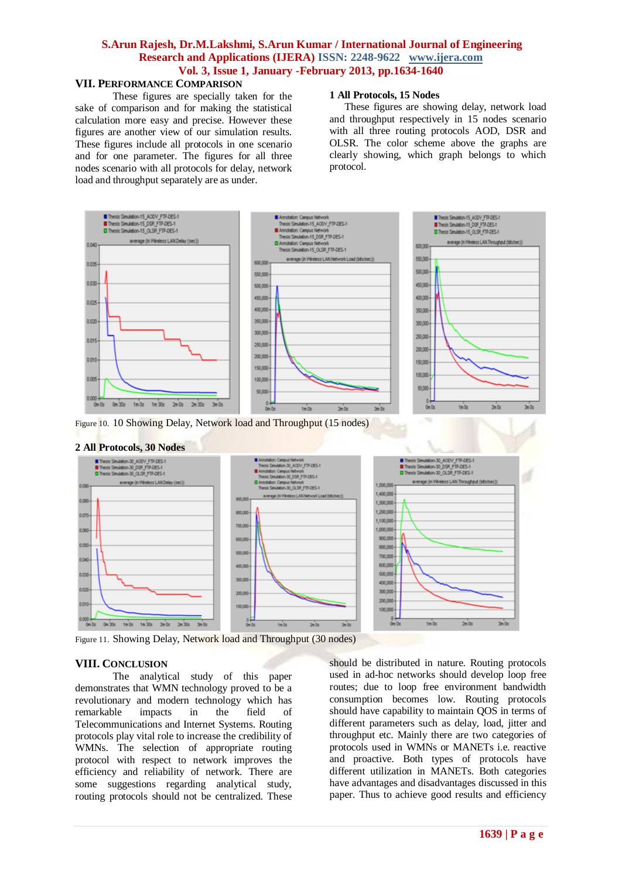## **VII. PERFORMANCE COMPARISON**

These figures are specially taken for the sake of comparison and for making the statistical calculation more easy and precise. However these figures are another view of our simulation results. These figures include all protocols in one scenario and for one parameter. The figures for all three nodes scenario with all protocols for delay, network load and throughput separately are as under.

#### **1 All Protocols, 15 Nodes**

These figures are showing delay, network load and throughput respectively in 15 nodes scenario with all three routing protocols AOD, DSR and OLSR. The color scheme above the graphs are clearly showing, which graph belongs to which protocol.





Figure 11. Showing Delay, Network load and Throughput (30 nodes)

#### **VIII. CONCLUSION**

The analytical study of this paper demonstrates that WMN technology proved to be a revolutionary and modern technology which has remarkable impacts in the field of Telecommunications and Internet Systems. Routing protocols play vital role to increase the credibility of WMNs. The selection of appropriate routing protocol with respect to network improves the efficiency and reliability of network. There are some suggestions regarding analytical study, routing protocols should not be centralized. These

should be distributed in nature. Routing protocols used in ad-hoc networks should develop loop free routes; due to loop free environment bandwidth consumption becomes low. Routing protocols should have capability to maintain QOS in terms of different parameters such as delay, load, jitter and throughput etc. Mainly there are two categories of protocols used in WMNs or MANETs i.e. reactive and proactive. Both types of protocols have different utilization in MANETs. Both categories have advantages and disadvantages discussed in this paper. Thus to achieve good results and efficiency